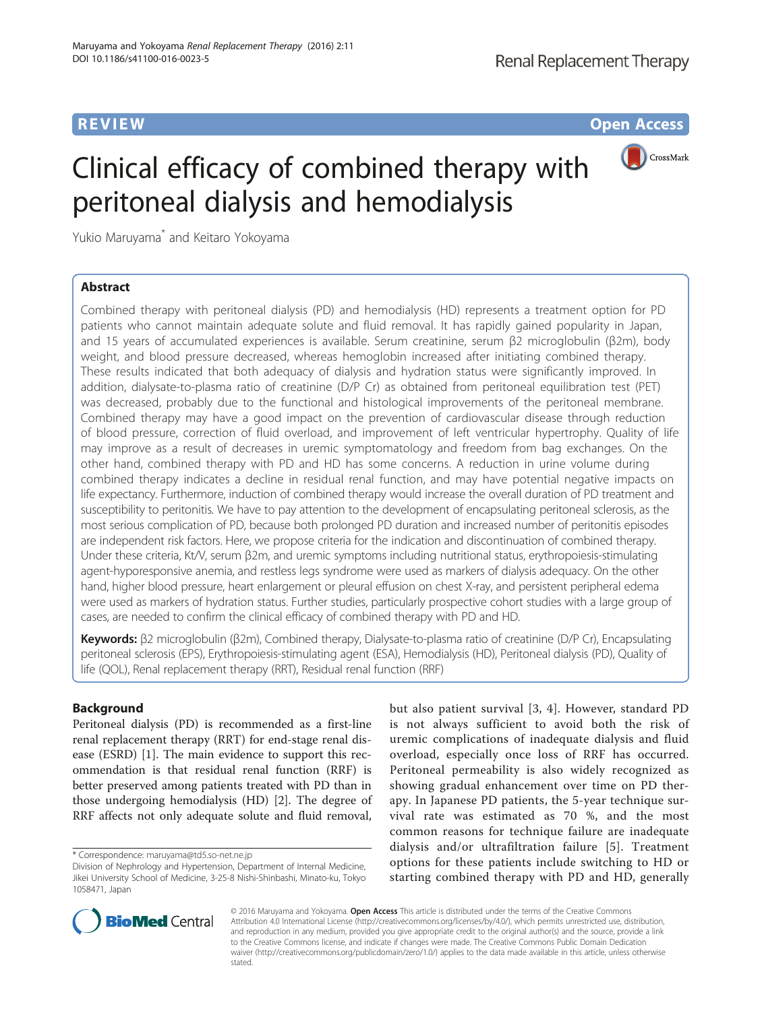**REVIEW CONSTRUCTION CONSTRUCTION CONSTRUCTS** 

CrossMark

# Clinical efficacy of combined therapy with peritoneal dialysis and hemodialysis

Yukio Maruyama\* and Keitaro Yokoyama

# Abstract

Combined therapy with peritoneal dialysis (PD) and hemodialysis (HD) represents a treatment option for PD patients who cannot maintain adequate solute and fluid removal. It has rapidly gained popularity in Japan, and 15 years of accumulated experiences is available. Serum creatinine, serum β2 microglobulin (β2m), body weight, and blood pressure decreased, whereas hemoglobin increased after initiating combined therapy. These results indicated that both adequacy of dialysis and hydration status were significantly improved. In addition, dialysate-to-plasma ratio of creatinine (D/P Cr) as obtained from peritoneal equilibration test (PET) was decreased, probably due to the functional and histological improvements of the peritoneal membrane. Combined therapy may have a good impact on the prevention of cardiovascular disease through reduction of blood pressure, correction of fluid overload, and improvement of left ventricular hypertrophy. Quality of life may improve as a result of decreases in uremic symptomatology and freedom from bag exchanges. On the other hand, combined therapy with PD and HD has some concerns. A reduction in urine volume during combined therapy indicates a decline in residual renal function, and may have potential negative impacts on life expectancy. Furthermore, induction of combined therapy would increase the overall duration of PD treatment and susceptibility to peritonitis. We have to pay attention to the development of encapsulating peritoneal sclerosis, as the most serious complication of PD, because both prolonged PD duration and increased number of peritonitis episodes are independent risk factors. Here, we propose criteria for the indication and discontinuation of combined therapy. Under these criteria, Kt/V, serum β2m, and uremic symptoms including nutritional status, erythropoiesis-stimulating agent-hyporesponsive anemia, and restless legs syndrome were used as markers of dialysis adequacy. On the other hand, higher blood pressure, heart enlargement or pleural effusion on chest X-ray, and persistent peripheral edema were used as markers of hydration status. Further studies, particularly prospective cohort studies with a large group of cases, are needed to confirm the clinical efficacy of combined therapy with PD and HD.

Keywords: β2 microglobulin (β2m), Combined therapy, Dialysate-to-plasma ratio of creatinine (D/P Cr), Encapsulating peritoneal sclerosis (EPS), Erythropoiesis-stimulating agent (ESA), Hemodialysis (HD), Peritoneal dialysis (PD), Quality of life (QOL), Renal replacement therapy (RRT), Residual renal function (RRF)

# Background

Peritoneal dialysis (PD) is recommended as a first-line renal replacement therapy (RRT) for end-stage renal disease (ESRD) [[1\]](#page-5-0). The main evidence to support this recommendation is that residual renal function (RRF) is better preserved among patients treated with PD than in those undergoing hemodialysis (HD) [\[2](#page-5-0)]. The degree of RRF affects not only adequate solute and fluid removal,

but also patient survival [\[3, 4\]](#page-5-0). However, standard PD is not always sufficient to avoid both the risk of uremic complications of inadequate dialysis and fluid overload, especially once loss of RRF has occurred. Peritoneal permeability is also widely recognized as showing gradual enhancement over time on PD therapy. In Japanese PD patients, the 5-year technique survival rate was estimated as 70 %, and the most common reasons for technique failure are inadequate dialysis and/or ultrafiltration failure [[5\]](#page-5-0). Treatment options for these patients include switching to HD or starting combined therapy with PD and HD, generally



© 2016 Maruyama and Yokoyama. **Open Access** This article is distributed under the terms of the Creative Commons Attribution 4.0 International License [\(http://creativecommons.org/licenses/by/4.0/](http://creativecommons.org/licenses/by/4.0/)), which permits unrestricted use, distribution, and reproduction in any medium, provided you give appropriate credit to the original author(s) and the source, provide a link to the Creative Commons license, and indicate if changes were made. The Creative Commons Public Domain Dedication waiver (http://creativecommons.org/publicdomain/zero/1.0/) applies to the data made available in this article, unless otherwise stated

<sup>\*</sup> Correspondence: [maruyama@td5.so-net.ne.jp](mailto:maruyama@td5.so-net.ne.jp)

Division of Nephrology and Hypertension, Department of Internal Medicine, Jikei University School of Medicine, 3-25-8 Nishi-Shinbashi, Minato-ku, Tokyo 1058471, Japan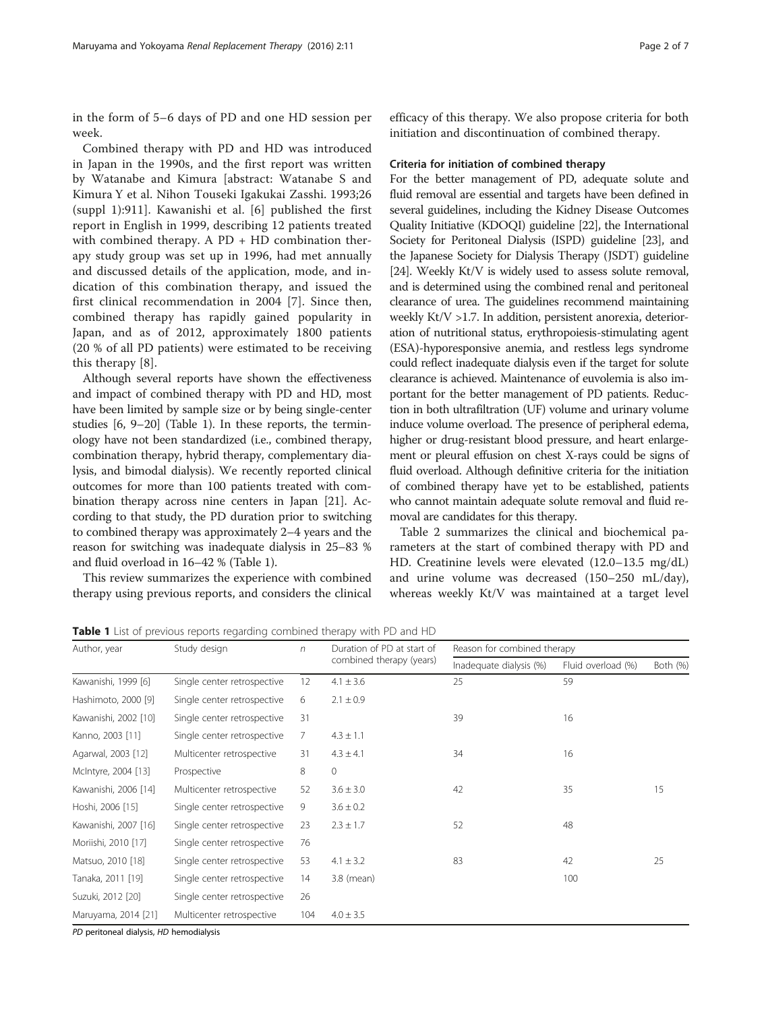in the form of 5–6 days of PD and one HD session per week.

Combined therapy with PD and HD was introduced in Japan in the 1990s, and the first report was written by Watanabe and Kimura [abstract: Watanabe S and Kimura Y et al. Nihon Touseki Igakukai Zasshi. 1993;26 (suppl 1):911]. Kawanishi et al. [[6](#page-5-0)] published the first report in English in 1999, describing 12 patients treated with combined therapy. A  $PD$  + HD combination therapy study group was set up in 1996, had met annually and discussed details of the application, mode, and indication of this combination therapy, and issued the first clinical recommendation in 2004 [[7\]](#page-5-0). Since then, combined therapy has rapidly gained popularity in Japan, and as of 2012, approximately 1800 patients (20 % of all PD patients) were estimated to be receiving this therapy [\[8](#page-5-0)].

Although several reports have shown the effectiveness and impact of combined therapy with PD and HD, most have been limited by sample size or by being single-center studies [\[6](#page-5-0), [9](#page-5-0)–[20](#page--1-0)] (Table 1). In these reports, the terminology have not been standardized (i.e., combined therapy, combination therapy, hybrid therapy, complementary dialysis, and bimodal dialysis). We recently reported clinical outcomes for more than 100 patients treated with combination therapy across nine centers in Japan [\[21](#page--1-0)]. According to that study, the PD duration prior to switching to combined therapy was approximately 2–4 years and the reason for switching was inadequate dialysis in 25–83 % and fluid overload in 16–42 % (Table 1).

This review summarizes the experience with combined therapy using previous reports, and considers the clinical

efficacy of this therapy. We also propose criteria for both initiation and discontinuation of combined therapy.

### Criteria for initiation of combined therapy

For the better management of PD, adequate solute and fluid removal are essential and targets have been defined in several guidelines, including the Kidney Disease Outcomes Quality Initiative (KDOQI) guideline [\[22\]](#page--1-0), the International Society for Peritoneal Dialysis (ISPD) guideline [\[23](#page--1-0)], and the Japanese Society for Dialysis Therapy (JSDT) guideline [[24](#page--1-0)]. Weekly Kt/V is widely used to assess solute removal, and is determined using the combined renal and peritoneal clearance of urea. The guidelines recommend maintaining weekly Kt/V >1.7. In addition, persistent anorexia, deterioration of nutritional status, erythropoiesis-stimulating agent (ESA)-hyporesponsive anemia, and restless legs syndrome could reflect inadequate dialysis even if the target for solute clearance is achieved. Maintenance of euvolemia is also important for the better management of PD patients. Reduction in both ultrafiltration (UF) volume and urinary volume induce volume overload. The presence of peripheral edema, higher or drug-resistant blood pressure, and heart enlargement or pleural effusion on chest X-rays could be signs of fluid overload. Although definitive criteria for the initiation of combined therapy have yet to be established, patients who cannot maintain adequate solute removal and fluid removal are candidates for this therapy.

Table [2](#page-2-0) summarizes the clinical and biochemical parameters at the start of combined therapy with PD and HD. Creatinine levels were elevated (12.0–13.5 mg/dL) and urine volume was decreased (150–250 mL/day), whereas weekly Kt/V was maintained at a target level

Table 1 List of previous reports regarding combined therapy with PD and HD

| Author, year         | Study design                | $\sqrt{n}$ | Duration of PD at start of | Reason for combined therapy |                    |          |  |  |
|----------------------|-----------------------------|------------|----------------------------|-----------------------------|--------------------|----------|--|--|
|                      |                             |            | combined therapy (years)   | Inadequate dialysis (%)     | Fluid overload (%) | Both (%) |  |  |
| Kawanishi, 1999 [6]  | Single center retrospective | 12         | $4.1 \pm 3.6$              | 25                          | 59                 |          |  |  |
| Hashimoto, 2000 [9]  | Single center retrospective | 6          | $2.1 \pm 0.9$              |                             |                    |          |  |  |
| Kawanishi, 2002 [10] | Single center retrospective | 31         |                            | 39                          | 16                 |          |  |  |
| Kanno, 2003 [11]     | Single center retrospective | 7          | $4.3 \pm 1.1$              |                             |                    |          |  |  |
| Agarwal, 2003 [12]   | Multicenter retrospective   | 31         | $4.3 \pm 4.1$              | 34                          | 16                 |          |  |  |
| McIntyre, 2004 [13]  | Prospective                 | 8          | $\mathbf{0}$               |                             |                    |          |  |  |
| Kawanishi, 2006 [14] | Multicenter retrospective   | 52         | $3.6 \pm 3.0$              | 42                          | 35                 | 15       |  |  |
| Hoshi, 2006 [15]     | Single center retrospective | 9          | $3.6 \pm 0.2$              |                             |                    |          |  |  |
| Kawanishi, 2007 [16] | Single center retrospective | 23         | $2.3 \pm 1.7$              | 52                          | 48                 |          |  |  |
| Moriishi, 2010 [17]  | Single center retrospective | 76         |                            |                             |                    |          |  |  |
| Matsuo, 2010 [18]    | Single center retrospective | 53         | $4.1 \pm 3.2$              | 83                          | 42                 | 25       |  |  |
| Tanaka, 2011 [19]    | Single center retrospective | 14         | 3.8 (mean)                 |                             | 100                |          |  |  |
| Suzuki, 2012 [20]    | Single center retrospective | 26         |                            |                             |                    |          |  |  |
| Maruyama, 2014 [21]  | Multicenter retrospective   | 104        | $4.0 \pm 3.5$              |                             |                    |          |  |  |

PD peritoneal dialysis, HD hemodialysis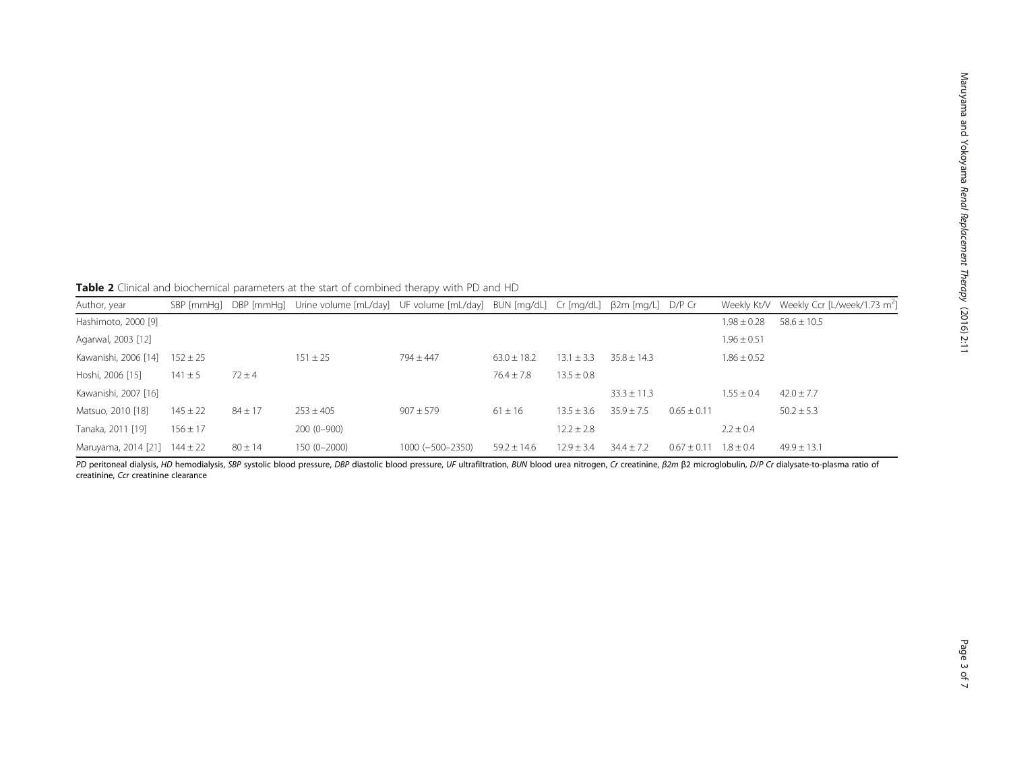<span id="page-2-0"></span>Table 2 Clinical and biochemical parameters at the start of combined therapy with PD and HD

| Author, year         |              |             | SBP [mmHq] DBP [mmHq] Urine volume [mL/day] UF volume [mL/day] BUN [mq/dL] Cr [mq/dL] β2m [mq/L] D/P Cr |                      |                 |                |                 |               |                 | Weekly Kt/V Weekly Ccr [L/week/1.73 m <sup>2</sup> ] |
|----------------------|--------------|-------------|---------------------------------------------------------------------------------------------------------|----------------------|-----------------|----------------|-----------------|---------------|-----------------|------------------------------------------------------|
| Hashimoto, 2000 [9]  |              |             |                                                                                                         |                      |                 |                |                 |               | $1.98 \pm 0.28$ | $58.6 \pm 10.5$                                      |
| Agarwal, 2003 [12]   |              |             |                                                                                                         |                      |                 |                |                 |               | $1.96 \pm 0.51$ |                                                      |
| Kawanishi, 2006 [14] | $152 \pm 25$ |             | $151 \pm 25$                                                                                            | $794 + 447$          | $63.0 \pm 18.2$ | $13.1 \pm 3.3$ | $35.8 + 14.3$   |               | $1.86 \pm 0.52$ |                                                      |
| Hoshi, 2006 [15]     | $141 \pm 5$  | $72 \pm 4$  |                                                                                                         |                      | $76.4 \pm 7.8$  | $13.5 \pm 0.8$ |                 |               |                 |                                                      |
| Kawanishi, 2007 [16] |              |             |                                                                                                         |                      |                 |                | $33.3 \pm 11.3$ |               | $1.55 + 0.4$    | $42.0 \pm 7.7$                                       |
| Matsuo, 2010 [18]    | $145 \pm 22$ | $84 \pm 17$ | $253 + 405$                                                                                             | $907 \pm 579$        | $61 \pm 16$     | $13.5 + 3.6$   | $35.9 + 7.5$    | $0.65 + 0.11$ |                 | $50.2 \pm 5.3$                                       |
| Tanaka, 2011 [19]    | $156 \pm 17$ |             | $200(0-900)$                                                                                            |                      |                 | $12.2 \pm 2.8$ |                 |               | $2.2 \pm 0.4$   |                                                      |
| Maruyama, 2014 [21]  | $144 \pm 22$ | $80 \pm 14$ | 150 (0-2000)                                                                                            | $1000 (-500 - 2350)$ | $59.2 \pm 14.6$ | $12.9 \pm 3.4$ | $34.4 \pm 7.2$  | $0.67 + 0.11$ | $1.8 + 0.4$     | $49.9 \pm 13.1$                                      |

PD peritoneal dialysis, HD hemodialysis, SBP systolic blood pressure, DBP diastolic blood pressure, UF ultrafiltration, BUN blood urea nitrogen, Cr creatinine, β2m β2 microglobulin, D/P Cr dialysate-to-plasma ratio of creatinine, Ccr creatinine clearance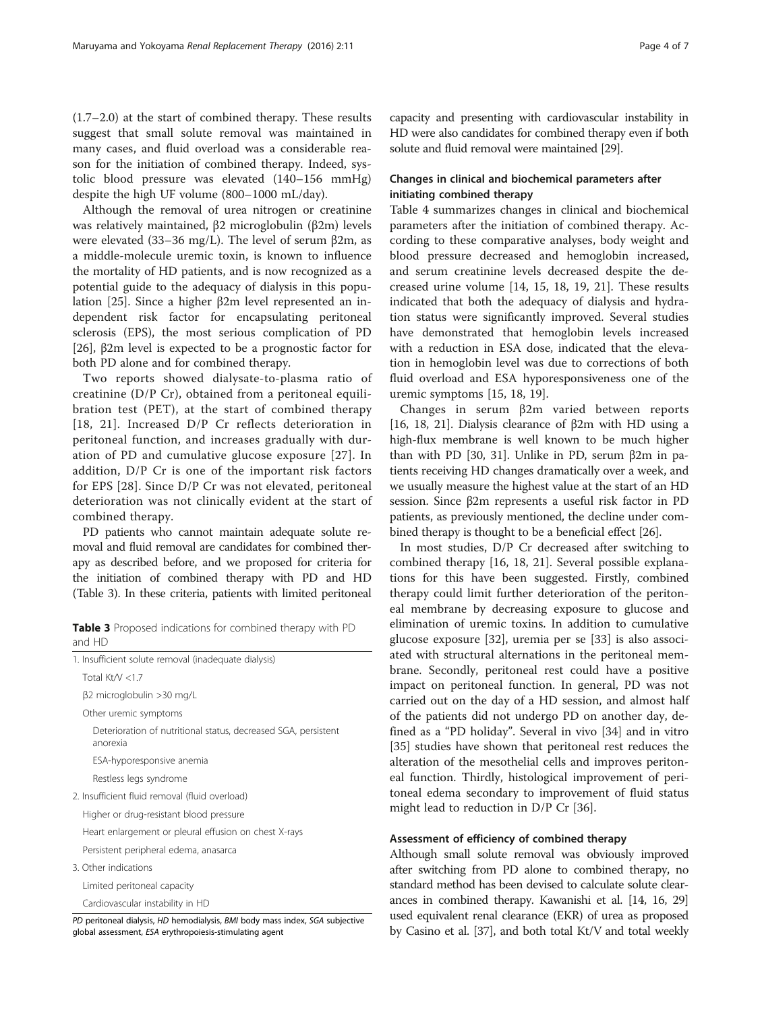(1.7–2.0) at the start of combined therapy. These results suggest that small solute removal was maintained in many cases, and fluid overload was a considerable reason for the initiation of combined therapy. Indeed, systolic blood pressure was elevated (140–156 mmHg) despite the high UF volume (800–1000 mL/day).

Although the removal of urea nitrogen or creatinine was relatively maintained, β2 microglobulin (β2m) levels were elevated (33–36 mg/L). The level of serum β2m, as a middle-molecule uremic toxin, is known to influence the mortality of HD patients, and is now recognized as a potential guide to the adequacy of dialysis in this population [[25\]](#page--1-0). Since a higher β2m level represented an independent risk factor for encapsulating peritoneal sclerosis (EPS), the most serious complication of PD [[26\]](#page--1-0), β2m level is expected to be a prognostic factor for both PD alone and for combined therapy.

Two reports showed dialysate-to-plasma ratio of creatinine (D/P Cr), obtained from a peritoneal equilibration test (PET), at the start of combined therapy [[18](#page-5-0), [21](#page--1-0)]. Increased D/P Cr reflects deterioration in peritoneal function, and increases gradually with duration of PD and cumulative glucose exposure [[27](#page--1-0)]. In addition, D/P Cr is one of the important risk factors for EPS [[28\]](#page--1-0). Since D/P Cr was not elevated, peritoneal deterioration was not clinically evident at the start of combined therapy.

PD patients who cannot maintain adequate solute removal and fluid removal are candidates for combined therapy as described before, and we proposed for criteria for the initiation of combined therapy with PD and HD (Table 3). In these criteria, patients with limited peritoneal

Table 3 Proposed indications for combined therapy with PD and HD

| 1. Insufficient solute removal (inadequate dialysis)                         |
|------------------------------------------------------------------------------|
| Total Kt/V <1.7                                                              |
| β2 microglobulin >30 mg/L                                                    |
| Other uremic symptoms                                                        |
| Deterioration of nutritional status, decreased SGA, persistent<br>anorexia   |
| ESA-hyporesponsive anemia                                                    |
| Restless legs syndrome                                                       |
| 2. Insufficient fluid removal (fluid overload)                               |
| Higher or drug-resistant blood pressure                                      |
| Heart enlargement or pleural effusion on chest X-rays                        |
| Persistent peripheral edema, anasarca                                        |
| 3. Other indications                                                         |
| Limited peritoneal capacity                                                  |
| Cardiovascular instability in HD                                             |
| PD peritoneal dialysis. HD hemodialysis. BMI body mass index. SGA subjective |

PD peritoneal dialysis, HD hemodialysis, BMI body mass index, SGA subjective global assessment, ESA erythropoiesis-stimulating agent

capacity and presenting with cardiovascular instability in HD were also candidates for combined therapy even if both solute and fluid removal were maintained [[29](#page--1-0)].

# Changes in clinical and biochemical parameters after initiating combined therapy

Table [4](#page-4-0) summarizes changes in clinical and biochemical parameters after the initiation of combined therapy. According to these comparative analyses, body weight and blood pressure decreased and hemoglobin increased, and serum creatinine levels decreased despite the decreased urine volume [\[14](#page-5-0), [15, 18, 19,](#page-5-0) [21](#page--1-0)]. These results indicated that both the adequacy of dialysis and hydration status were significantly improved. Several studies have demonstrated that hemoglobin levels increased with a reduction in ESA dose, indicated that the elevation in hemoglobin level was due to corrections of both fluid overload and ESA hyporesponsiveness one of the uremic symptoms [\[15, 18, 19\]](#page-5-0).

Changes in serum β2m varied between reports [[16](#page-5-0), [18](#page-5-0), [21](#page--1-0)]. Dialysis clearance of β2m with HD using a high-flux membrane is well known to be much higher than with PD [[30](#page--1-0), [31](#page--1-0)]. Unlike in PD, serum β2m in patients receiving HD changes dramatically over a week, and we usually measure the highest value at the start of an HD session. Since β2m represents a useful risk factor in PD patients, as previously mentioned, the decline under combined therapy is thought to be a beneficial effect [[26](#page--1-0)].

In most studies, D/P Cr decreased after switching to combined therapy [[16, 18](#page-5-0), [21\]](#page--1-0). Several possible explanations for this have been suggested. Firstly, combined therapy could limit further deterioration of the peritoneal membrane by decreasing exposure to glucose and elimination of uremic toxins. In addition to cumulative glucose exposure [\[32\]](#page--1-0), uremia per se [[33\]](#page--1-0) is also associated with structural alternations in the peritoneal membrane. Secondly, peritoneal rest could have a positive impact on peritoneal function. In general, PD was not carried out on the day of a HD session, and almost half of the patients did not undergo PD on another day, defined as a "PD holiday". Several in vivo [\[34](#page--1-0)] and in vitro [[35\]](#page--1-0) studies have shown that peritoneal rest reduces the alteration of the mesothelial cells and improves peritoneal function. Thirdly, histological improvement of peritoneal edema secondary to improvement of fluid status might lead to reduction in D/P Cr [\[36](#page--1-0)].

# Assessment of efficiency of combined therapy

Although small solute removal was obviously improved after switching from PD alone to combined therapy, no standard method has been devised to calculate solute clearances in combined therapy. Kawanishi et al. [\[14, 16,](#page-5-0) [29](#page--1-0)] used equivalent renal clearance (EKR) of urea as proposed by Casino et al. [\[37\]](#page--1-0), and both total Kt/V and total weekly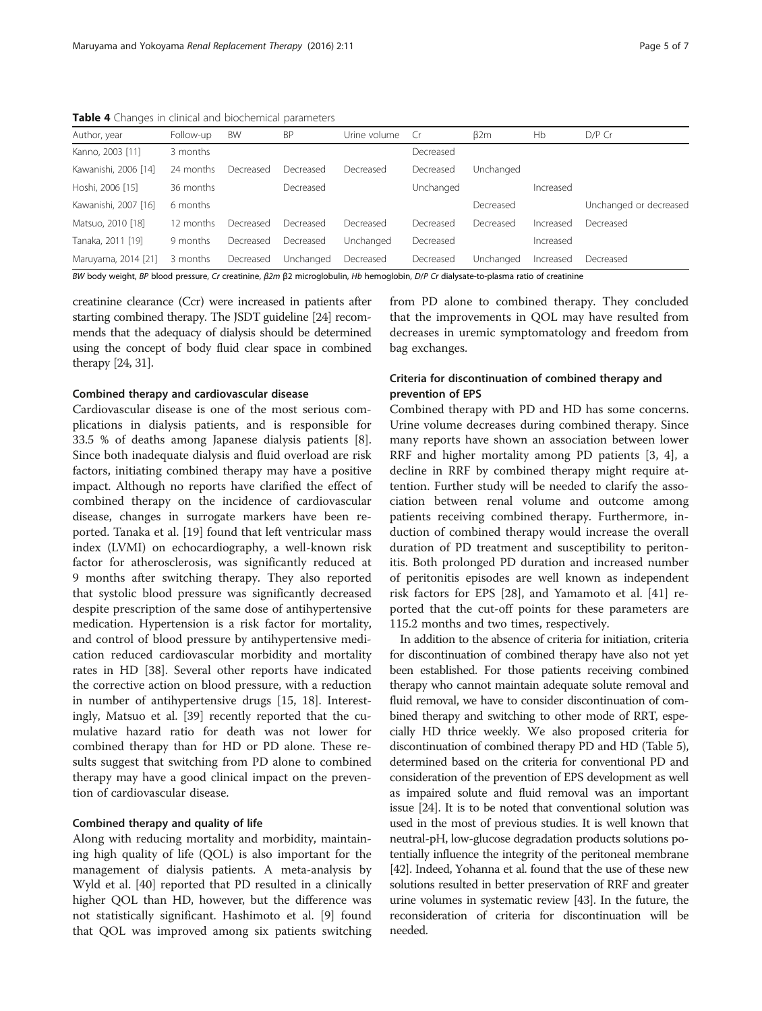<span id="page-4-0"></span>Table 4 Changes in clinical and biochemical parameters

|  |  | . ugu u |  |
|--|--|---------|--|
|  |  |         |  |
|  |  |         |  |

| Author, year         | Follow-up | BW        | <b>BP</b> | Urine volume | Cr        | $\beta$ 2m | Hb        | D/P Cr                 |
|----------------------|-----------|-----------|-----------|--------------|-----------|------------|-----------|------------------------|
| Kanno, 2003 [11]     | 3 months  |           |           |              | Decreased |            |           |                        |
| Kawanishi, 2006 [14] | 24 months | Decreased | Decreased | Decreased    | Decreased | Unchanged  |           |                        |
| Hoshi, 2006 [15]     | 36 months |           | Decreased |              | Unchanged |            | Increased |                        |
| Kawanishi, 2007 [16] | 6 months  |           |           |              |           | Decreased  |           | Unchanged or decreased |
| Matsuo, 2010 [18]    | 12 months | Decreased | Decreased | Decreased    | Decreased | Decreased  | Increased | Decreased              |
| Tanaka, 2011 [19]    | 9 months  | Decreased | Decreased | Unchanged    | Decreased |            | Increased |                        |
| Maruyama, 2014 [21]  | 3 months  | Decreased | Unchanged | Decreased    | Decreased | Unchanged  | Increased | Decreased              |

BW body weight, BP blood pressure, Cr creatinine, β2m β2 microglobulin, Hb hemoglobin, D/P Cr dialysate-to-plasma ratio of creatinine

creatinine clearance (Ccr) were increased in patients after starting combined therapy. The JSDT guideline [\[24](#page--1-0)] recommends that the adequacy of dialysis should be determined using the concept of body fluid clear space in combined therapy [[24](#page--1-0), [31](#page--1-0)].

## Combined therapy and cardiovascular disease

Cardiovascular disease is one of the most serious complications in dialysis patients, and is responsible for 33.5 % of deaths among Japanese dialysis patients [\[8](#page-5-0)]. Since both inadequate dialysis and fluid overload are risk factors, initiating combined therapy may have a positive impact. Although no reports have clarified the effect of combined therapy on the incidence of cardiovascular disease, changes in surrogate markers have been reported. Tanaka et al. [\[19\]](#page-5-0) found that left ventricular mass index (LVMI) on echocardiography, a well-known risk factor for atherosclerosis, was significantly reduced at 9 months after switching therapy. They also reported that systolic blood pressure was significantly decreased despite prescription of the same dose of antihypertensive medication. Hypertension is a risk factor for mortality, and control of blood pressure by antihypertensive medication reduced cardiovascular morbidity and mortality rates in HD [\[38\]](#page--1-0). Several other reports have indicated the corrective action on blood pressure, with a reduction in number of antihypertensive drugs [[15, 18](#page-5-0)]. Interestingly, Matsuo et al. [\[39](#page--1-0)] recently reported that the cumulative hazard ratio for death was not lower for combined therapy than for HD or PD alone. These results suggest that switching from PD alone to combined therapy may have a good clinical impact on the prevention of cardiovascular disease.

# Combined therapy and quality of life

Along with reducing mortality and morbidity, maintaining high quality of life (QOL) is also important for the management of dialysis patients. A meta-analysis by Wyld et al. [[40\]](#page--1-0) reported that PD resulted in a clinically higher QOL than HD, however, but the difference was not statistically significant. Hashimoto et al. [[9\]](#page-5-0) found that QOL was improved among six patients switching

from PD alone to combined therapy. They concluded that the improvements in QOL may have resulted from decreases in uremic symptomatology and freedom from bag exchanges.

# Criteria for discontinuation of combined therapy and prevention of EPS

Combined therapy with PD and HD has some concerns. Urine volume decreases during combined therapy. Since many reports have shown an association between lower RRF and higher mortality among PD patients [[3, 4](#page-5-0)], a decline in RRF by combined therapy might require attention. Further study will be needed to clarify the association between renal volume and outcome among patients receiving combined therapy. Furthermore, induction of combined therapy would increase the overall duration of PD treatment and susceptibility to peritonitis. Both prolonged PD duration and increased number of peritonitis episodes are well known as independent risk factors for EPS [[28\]](#page--1-0), and Yamamoto et al. [[41\]](#page--1-0) reported that the cut-off points for these parameters are 115.2 months and two times, respectively.

In addition to the absence of criteria for initiation, criteria for discontinuation of combined therapy have also not yet been established. For those patients receiving combined therapy who cannot maintain adequate solute removal and fluid removal, we have to consider discontinuation of combined therapy and switching to other mode of RRT, especially HD thrice weekly. We also proposed criteria for discontinuation of combined therapy PD and HD (Table [5](#page-5-0)), determined based on the criteria for conventional PD and consideration of the prevention of EPS development as well as impaired solute and fluid removal was an important issue [\[24](#page--1-0)]. It is to be noted that conventional solution was used in the most of previous studies. It is well known that neutral-pH, low-glucose degradation products solutions potentially influence the integrity of the peritoneal membrane [[42](#page--1-0)]. Indeed, Yohanna et al. found that the use of these new solutions resulted in better preservation of RRF and greater urine volumes in systematic review [[43\]](#page--1-0). In the future, the reconsideration of criteria for discontinuation will be needed.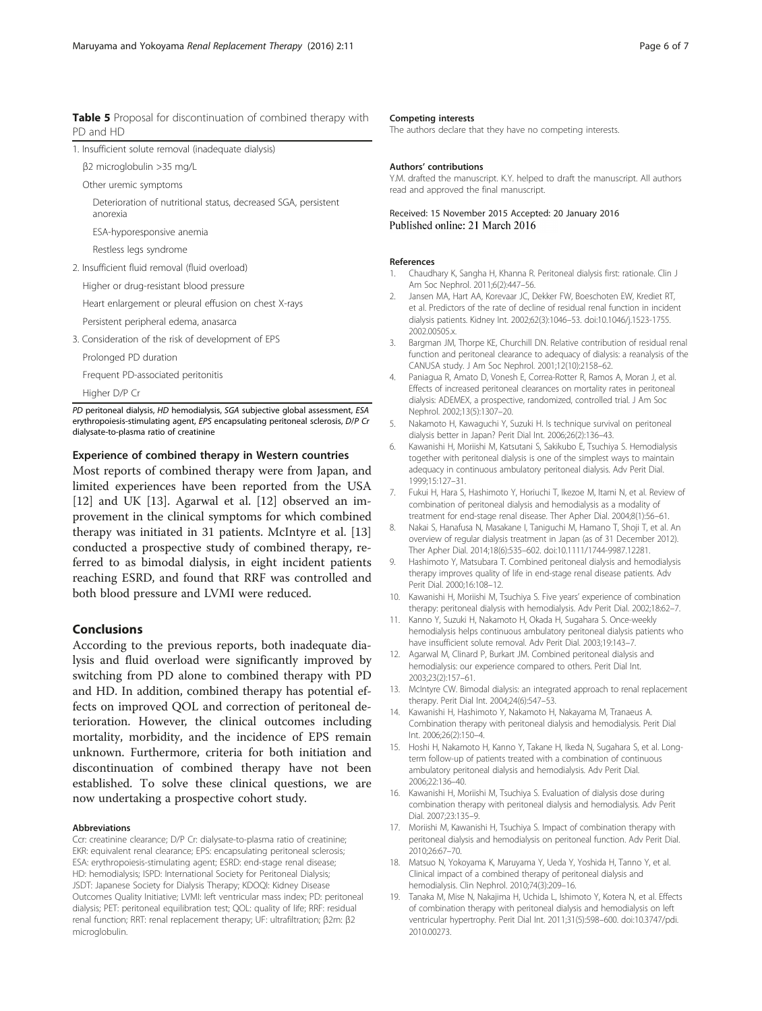<span id="page-5-0"></span>Table 5 Proposal for discontinuation of combined therapy with PD and HD

|  |  |  |  | 1. Insufficient solute removal (inadequate dialysis) |  |
|--|--|--|--|------------------------------------------------------|--|
|--|--|--|--|------------------------------------------------------|--|

β2 microglobulin >35 mg/L

Other uremic symptoms

Deterioration of nutritional status, decreased SGA, persistent anorexia

ESA-hyporesponsive anemia

Restless legs syndrome

2. Insufficient fluid removal (fluid overload)

Higher or drug-resistant blood pressure

Heart enlargement or pleural effusion on chest X-rays

Persistent peripheral edema, anasarca

3. Consideration of the risk of development of EPS

Prolonged PD duration

Frequent PD-associated peritonitis

Higher D/P Cr

PD peritoneal dialysis, HD hemodialysis, SGA subjective global assessment, ESA erythropoiesis-stimulating agent, EPS encapsulating peritoneal sclerosis, D/P Cr dialysate-to-plasma ratio of creatinine

# Experience of combined therapy in Western countries

Most reports of combined therapy were from Japan, and limited experiences have been reported from the USA [12] and UK [13]. Agarwal et al. [12] observed an improvement in the clinical symptoms for which combined therapy was initiated in 31 patients. McIntyre et al. [13] conducted a prospective study of combined therapy, referred to as bimodal dialysis, in eight incident patients reaching ESRD, and found that RRF was controlled and both blood pressure and LVMI were reduced.

# Conclusions

According to the previous reports, both inadequate dialysis and fluid overload were significantly improved by switching from PD alone to combined therapy with PD and HD. In addition, combined therapy has potential effects on improved QOL and correction of peritoneal deterioration. However, the clinical outcomes including mortality, morbidity, and the incidence of EPS remain unknown. Furthermore, criteria for both initiation and discontinuation of combined therapy have not been established. To solve these clinical questions, we are now undertaking a prospective cohort study.

#### Abbreviations

Ccr: creatinine clearance; D/P Cr: dialysate-to-plasma ratio of creatinine; EKR: equivalent renal clearance; EPS: encapsulating peritoneal sclerosis; ESA: erythropoiesis-stimulating agent; ESRD: end-stage renal disease; HD: hemodialysis; ISPD: International Society for Peritoneal Dialysis; JSDT: Japanese Society for Dialysis Therapy; KDOQI: Kidney Disease Outcomes Quality Initiative; LVMI: left ventricular mass index; PD: peritoneal dialysis; PET: peritoneal equilibration test; QOL: quality of life; RRF: residual renal function; RRT: renal replacement therapy; UF: ultrafiltration; β2m: β2 microglobulin.

#### Competing interests

The authors declare that they have no competing interests.

#### Authors' contributions

Y.M. drafted the manuscript. K.Y. helped to draft the manuscript. All authors read and approved the final manuscript.

Received: 15 November 2015 Accepted: 20 January 2016 Published online: 21 March 2016

#### References

- 1. Chaudhary K, Sangha H, Khanna R. Peritoneal dialysis first: rationale. Clin J Am Soc Nephrol. 2011;6(2):447–56.
- Jansen MA, Hart AA, Korevaar JC, Dekker FW, Boeschoten EW, Krediet RT, et al. Predictors of the rate of decline of residual renal function in incident dialysis patients. Kidney Int. 2002;62(3):1046–53. doi[:10.1046/j.1523-1755.](http://dx.doi.org/10.1046/j.1523-1755.2002.00505.x) [2002.00505.x.](http://dx.doi.org/10.1046/j.1523-1755.2002.00505.x)
- 3. Bargman JM, Thorpe KE, Churchill DN. Relative contribution of residual renal function and peritoneal clearance to adequacy of dialysis: a reanalysis of the CANUSA study. J Am Soc Nephrol. 2001;12(10):2158–62.
- 4. Paniagua R, Amato D, Vonesh E, Correa-Rotter R, Ramos A, Moran J, et al. Effects of increased peritoneal clearances on mortality rates in peritoneal dialysis: ADEMEX, a prospective, randomized, controlled trial. J Am Soc Nephrol. 2002;13(5):1307–20.
- 5. Nakamoto H, Kawaguchi Y, Suzuki H. Is technique survival on peritoneal dialysis better in Japan? Perit Dial Int. 2006;26(2):136–43.
- 6. Kawanishi H, Moriishi M, Katsutani S, Sakikubo E, Tsuchiya S. Hemodialysis together with peritoneal dialysis is one of the simplest ways to maintain adequacy in continuous ambulatory peritoneal dialysis. Adv Perit Dial. 1999;15:127–31.
- 7. Fukui H, Hara S, Hashimoto Y, Horiuchi T, Ikezoe M, Itami N, et al. Review of combination of peritoneal dialysis and hemodialysis as a modality of treatment for end-stage renal disease. Ther Apher Dial. 2004;8(1):56–61.
- 8. Nakai S, Hanafusa N, Masakane I, Taniguchi M, Hamano T, Shoji T, et al. An overview of regular dialysis treatment in Japan (as of 31 December 2012). Ther Apher Dial. 2014;18(6):535–602. doi:[10.1111/1744-9987.12281](http://dx.doi.org/10.1111/1744-9987.12281).
- 9. Hashimoto Y, Matsubara T. Combined peritoneal dialysis and hemodialysis therapy improves quality of life in end-stage renal disease patients. Adv Perit Dial. 2000;16:108–12.
- 10. Kawanishi H, Moriishi M, Tsuchiya S. Five years' experience of combination therapy: peritoneal dialysis with hemodialysis. Adv Perit Dial. 2002;18:62–7.
- 11. Kanno Y, Suzuki H, Nakamoto H, Okada H, Sugahara S. Once-weekly hemodialysis helps continuous ambulatory peritoneal dialysis patients who have insufficient solute removal. Adv Perit Dial. 2003;19:143–7.
- 12. Agarwal M, Clinard P, Burkart JM. Combined peritoneal dialysis and hemodialysis: our experience compared to others. Perit Dial Int. 2003;23(2):157–61.
- 13. McIntyre CW. Bimodal dialysis: an integrated approach to renal replacement therapy. Perit Dial Int. 2004;24(6):547–53.
- 14. Kawanishi H, Hashimoto Y, Nakamoto H, Nakayama M, Tranaeus A. Combination therapy with peritoneal dialysis and hemodialysis. Perit Dial Int. 2006;26(2):150–4.
- 15. Hoshi H, Nakamoto H, Kanno Y, Takane H, Ikeda N, Sugahara S, et al. Longterm follow-up of patients treated with a combination of continuous ambulatory peritoneal dialysis and hemodialysis. Adv Perit Dial. 2006;22:136–40.
- 16. Kawanishi H, Moriishi M, Tsuchiya S. Evaluation of dialysis dose during combination therapy with peritoneal dialysis and hemodialysis. Adv Perit Dial. 2007;23:135–9.
- 17. Moriishi M, Kawanishi H, Tsuchiya S. Impact of combination therapy with peritoneal dialysis and hemodialysis on peritoneal function. Adv Perit Dial. 2010;26:67–70.
- 18. Matsuo N, Yokoyama K, Maruyama Y, Ueda Y, Yoshida H, Tanno Y, et al. Clinical impact of a combined therapy of peritoneal dialysis and hemodialysis. Clin Nephrol. 2010;74(3):209–16.
- 19. Tanaka M, Mise N, Nakajima H, Uchida L, Ishimoto Y, Kotera N, et al. Effects of combination therapy with peritoneal dialysis and hemodialysis on left ventricular hypertrophy. Perit Dial Int. 2011;31(5):598–600. doi[:10.3747/pdi.](http://dx.doi.org/10.3747/pdi.2010.00273) [2010.00273.](http://dx.doi.org/10.3747/pdi.2010.00273)